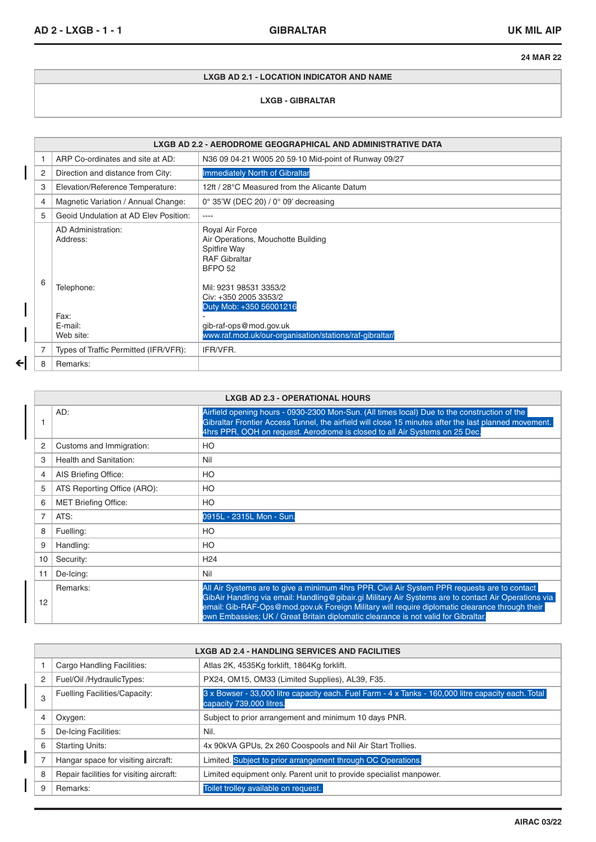# **LXGB AD 2.1 - LOCATION INDICATOR AND NAME**

# **LXGB - GIBRALTAR**

|              |                                                                                 | LXGB AD 2.2 - AERODROME GEOGRAPHICAL AND ADMINISTRATIVE DATA |                                                                                                                     |  |  |  |
|--------------|---------------------------------------------------------------------------------|--------------------------------------------------------------|---------------------------------------------------------------------------------------------------------------------|--|--|--|
|              |                                                                                 | ARP Co-ordinates and site at AD:                             | N36 09 04.21 W005 20 59.10 Mid-point of Runway 09/27                                                                |  |  |  |
|              | <b>Immediately North of Gibraltar</b><br>2<br>Direction and distance from City: |                                                              |                                                                                                                     |  |  |  |
|              | 3                                                                               | Elevation/Reference Temperature:                             | 12ft / 28°C Measured from the Alicante Datum                                                                        |  |  |  |
|              | $\overline{4}$                                                                  | Magnetic Variation / Annual Change:                          | $0^{\circ}$ 35'W (DEC 20) / $0^{\circ}$ 09' decreasing                                                              |  |  |  |
|              | 5                                                                               | Geoid Undulation at AD Elev Position:                        | ----                                                                                                                |  |  |  |
|              |                                                                                 | AD Administration:<br>Address:                               | Royal Air Force<br>Air Operations, Mouchotte Building<br>Spitfire Way<br><b>RAF Gibraltar</b><br>BFPO <sub>52</sub> |  |  |  |
|              | 6                                                                               | Telephone:<br>Fax:<br>E-mail:                                | Mil: 9231 98531 3353/2<br>Civ: +350 2005 3353/2<br>Duty Mob: +350 56001216<br>gib-raf-ops@mod.gov.uk                |  |  |  |
|              |                                                                                 | Web site:                                                    | www.raf.mod.uk/our-organisation/stations/raf-gibraltar/                                                             |  |  |  |
|              |                                                                                 | Types of Traffic Permitted (IFR/VFR):                        | IFR/VFR.                                                                                                            |  |  |  |
| $\leftarrow$ | 8                                                                               | Remarks:                                                     |                                                                                                                     |  |  |  |

|    | <b>LXGB AD 2.3 - OPERATIONAL HOURS</b> |                                                                                                                                                                                                                                                                                                                                                                                              |  |  |  |  |  |
|----|----------------------------------------|----------------------------------------------------------------------------------------------------------------------------------------------------------------------------------------------------------------------------------------------------------------------------------------------------------------------------------------------------------------------------------------------|--|--|--|--|--|
|    | AD:                                    | Airfield opening hours - 0930-2300 Mon-Sun. (All times local) Due to the construction of the<br>Gibraltar Frontier Access Tunnel, the airfield will close 15 minutes after the last planned movement.<br>4hrs PPR, OOH on request. Aerodrome is closed to all Air Systems on 25 Dec.                                                                                                         |  |  |  |  |  |
| 2  | Customs and Immigration:               | HO                                                                                                                                                                                                                                                                                                                                                                                           |  |  |  |  |  |
| 3  | Health and Sanitation:                 | Nil                                                                                                                                                                                                                                                                                                                                                                                          |  |  |  |  |  |
| 4  | AIS Briefing Office:                   | HO                                                                                                                                                                                                                                                                                                                                                                                           |  |  |  |  |  |
| 5  | ATS Reporting Office (ARO):            | HO                                                                                                                                                                                                                                                                                                                                                                                           |  |  |  |  |  |
| 6  | <b>MET Briefing Office:</b>            | HO.                                                                                                                                                                                                                                                                                                                                                                                          |  |  |  |  |  |
|    | ATS:                                   | 0915L - 2315L Mon - Sun.                                                                                                                                                                                                                                                                                                                                                                     |  |  |  |  |  |
| 8  | Fuelling:                              | HO                                                                                                                                                                                                                                                                                                                                                                                           |  |  |  |  |  |
| 9  | Handling:                              | HO                                                                                                                                                                                                                                                                                                                                                                                           |  |  |  |  |  |
| 10 | Security:                              | H <sub>24</sub>                                                                                                                                                                                                                                                                                                                                                                              |  |  |  |  |  |
| 11 | De-Icing:                              | Nil                                                                                                                                                                                                                                                                                                                                                                                          |  |  |  |  |  |
| 12 | Remarks:                               | All Air Systems are to give a minimum 4hrs PPR. Civil Air System PPR requests are to contact<br>GibAir Handling via email: Handling@gibair.gi Military Air Systems are to contact Air Operations via<br>email: Gib-RAF-Ops@mod.gov.uk Foreign Military will require diplomatic clearance through their<br>own Embassies; UK / Great Britain diplomatic clearance is not valid for Gibraltar. |  |  |  |  |  |

|   | <b>LXGB AD 2.4 - HANDLING SERVICES AND FACILITIES</b>                                                                                                                   |                                                                     |  |  |  |
|---|-------------------------------------------------------------------------------------------------------------------------------------------------------------------------|---------------------------------------------------------------------|--|--|--|
|   | Cargo Handling Facilities:                                                                                                                                              | Atlas 2K, 4535Kg forklift, 1864Kg forklift.                         |  |  |  |
| 2 | Fuel/Oil /HydraulicTypes:                                                                                                                                               | PX24, OM15, OM33 (Limited Supplies), AL39, F35.                     |  |  |  |
| 3 | 3 x Bowser - 33,000 litre capacity each. Fuel Farm - 4 x Tanks - 160,000 litre capacity each. Total<br><b>Fuelling Facilities/Capacity:</b><br>capacity 739,000 litres. |                                                                     |  |  |  |
| 4 | Oxygen:                                                                                                                                                                 | Subject to prior arrangement and minimum 10 days PNR.               |  |  |  |
| 5 | De-Icing Facilities:                                                                                                                                                    | Nil.                                                                |  |  |  |
| 6 | <b>Starting Units:</b>                                                                                                                                                  | 4x 90kVA GPUs, 2x 260 Coospools and Nil Air Start Trollies.         |  |  |  |
|   | Hangar space for visiting aircraft:                                                                                                                                     | Limited. Subject to prior arrangement through OC Operations.        |  |  |  |
| 8 | Repair facilities for visiting aircraft:                                                                                                                                | Limited equipment only. Parent unit to provide specialist manpower. |  |  |  |
| 9 | Remarks:                                                                                                                                                                | Toilet trolley available on request.                                |  |  |  |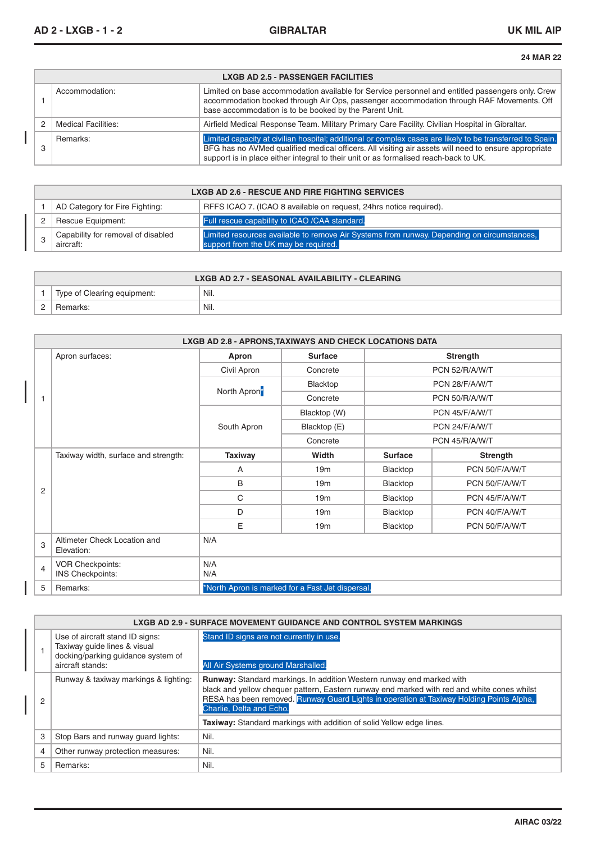|  |                     | <b>LXGB AD 2.5 - PASSENGER FACILITIES</b>                                                                                                                                                                                                                                                                 |
|--|---------------------|-----------------------------------------------------------------------------------------------------------------------------------------------------------------------------------------------------------------------------------------------------------------------------------------------------------|
|  | Accommodation:      | Limited on base accommodation available for Service personnel and entitled passengers only. Crew<br>accommodation booked through Air Ops, passenger accommodation through RAF Movements. Off<br>base accommodation is to be booked by the Parent Unit.                                                    |
|  | Medical Facilities: | Airfield Medical Response Team. Military Primary Care Facility. Civilian Hospital in Gibraltar.                                                                                                                                                                                                           |
|  | Remarks:            | Limited capacity at civilian hospital; additional or complex cases are likely to be transferred to Spain.<br>BFG has no AVMed qualified medical officers. All visiting air assets will need to ensure appropriate<br>support is in place either integral to their unit or as formalised reach-back to UK. |

|  | LXGB AD 2.6 - RESCUE AND FIRE FIGHTING SERVICES |                                                                                                                                    |  |  |  |  |
|--|-------------------------------------------------|------------------------------------------------------------------------------------------------------------------------------------|--|--|--|--|
|  | AD Category for Fire Fighting:                  | RFFS ICAO 7. (ICAO 8 available on request, 24hrs notice required).                                                                 |  |  |  |  |
|  | Rescue Equipment:                               | Full rescue capability to ICAO /CAA standard.                                                                                      |  |  |  |  |
|  | Capability for removal of disabled<br>aircraft: | Limited resources available to remove Air Systems from runway. Depending on circumstances,<br>support from the UK may be required. |  |  |  |  |

|   | LXGB AD 2.7 - SEASONAL AVAILABILITY - CLEARING |      |  |  |  |  |
|---|------------------------------------------------|------|--|--|--|--|
|   | Type of Clearing equipment:                    | Nil. |  |  |  |  |
| - |                                                | Nil. |  |  |  |  |

|                | LXGB AD 2.8 - APRONS, TAXIWAYS AND CHECK LOCATIONS DATA |                          |                                                  |                 |                |  |  |  |
|----------------|---------------------------------------------------------|--------------------------|--------------------------------------------------|-----------------|----------------|--|--|--|
|                | Apron surfaces:                                         | Apron                    | <b>Surface</b>                                   | <b>Strength</b> |                |  |  |  |
|                |                                                         | Civil Apron              | Concrete                                         |                 | PCN 52/R/A/W/T |  |  |  |
|                |                                                         |                          | Blacktop                                         |                 | PCN 28/F/A/W/T |  |  |  |
|                |                                                         | North Apron <sup>*</sup> | Concrete                                         |                 | PCN 50/R/A/W/T |  |  |  |
|                |                                                         |                          | Blacktop (W)                                     |                 | PCN 45/F/A/W/T |  |  |  |
|                |                                                         | South Apron              | Blacktop (E)                                     |                 | PCN 24/F/A/W/T |  |  |  |
|                |                                                         |                          | Concrete                                         | PCN 45/R/A/W/T  |                |  |  |  |
|                | Taxiway width, surface and strength:                    | Taxiway                  | Width                                            | <b>Surface</b>  | Strength       |  |  |  |
|                |                                                         | $\overline{A}$           | 19 <sub>m</sub>                                  | Blacktop        | PCN 50/F/A/W/T |  |  |  |
| 2              |                                                         | B                        | 19m                                              | Blacktop        | PCN 50/F/A/W/T |  |  |  |
|                |                                                         | C                        | 19m                                              | Blacktop        | PCN 45/F/A/W/T |  |  |  |
|                |                                                         | D                        | 19 <sub>m</sub>                                  | Blacktop        | PCN 40/F/A/W/T |  |  |  |
|                |                                                         | E                        | 19m                                              | Blacktop        | PCN 50/F/A/W/T |  |  |  |
| 3              | Altimeter Check Location and<br>Elevation:              | N/A                      |                                                  |                 |                |  |  |  |
| $\overline{4}$ | VOR Checkpoints:<br>INS Checkpoints:                    | N/A<br>N/A               |                                                  |                 |                |  |  |  |
| 5              | Remarks:                                                |                          | *North Apron is marked for a Fast Jet dispersal. |                 |                |  |  |  |

|                                                                        | LXGB AD 2.9 - SURFACE MOVEMENT GUIDANCE AND CONTROL SYSTEM MARKINGS                                                       |                                                                                                                                                                                                                                                                         |  |  |  |  |
|------------------------------------------------------------------------|---------------------------------------------------------------------------------------------------------------------------|-------------------------------------------------------------------------------------------------------------------------------------------------------------------------------------------------------------------------------------------------------------------------|--|--|--|--|
|                                                                        | Use of aircraft stand ID signs:<br>Taxiway guide lines & visual<br>docking/parking quidance system of<br>aircraft stands: | Stand ID signs are not currently in use.<br>All Air Systems ground Marshalled.                                                                                                                                                                                          |  |  |  |  |
| Runway & taxiway markings & lighting:<br>2<br>Charlie, Delta and Echo. |                                                                                                                           | <b>Runway:</b> Standard markings. In addition Western runway end marked with<br>black and yellow chequer pattern, Eastern runway end marked with red and white cones whilst<br>RESA has been removed. Runway Guard Lights in operation at Taxiway Holding Points Alpha, |  |  |  |  |
|                                                                        |                                                                                                                           | Taxiway: Standard markings with addition of solid Yellow edge lines.                                                                                                                                                                                                    |  |  |  |  |
| 3                                                                      | Stop Bars and runway guard lights:                                                                                        | Nil.                                                                                                                                                                                                                                                                    |  |  |  |  |
| 4                                                                      | Other runway protection measures:                                                                                         | Nil.                                                                                                                                                                                                                                                                    |  |  |  |  |
| 5                                                                      | Remarks:                                                                                                                  | Nil.                                                                                                                                                                                                                                                                    |  |  |  |  |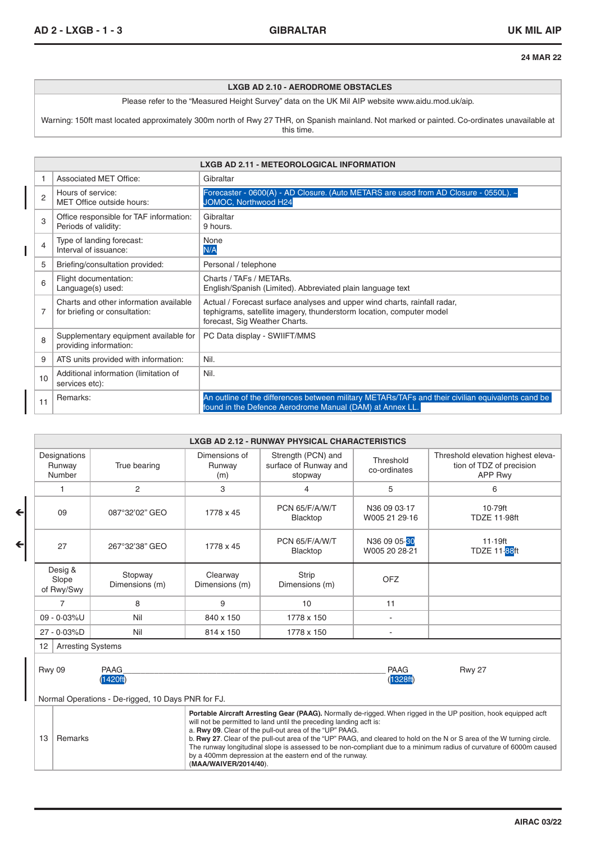#### **24 MAR 22**

### **LXGB AD 2.10 - AERODROME OBSTACLES**

Please refer to the "Measured Height Survey" data on the UK Mil AIP website www.aidu.mod.uk/aip.

Warning: 150ft mast located approximately 300m north of Rwy 27 THR, on Spanish mainland. Not marked or painted. Co-ordinates unavailable at this time.

|                                                                        |                                                               |                                                                         | <b>LXGB AD 2.11 - METEOROLOGICAL INFORMATION</b>                                                                                                                                   |  |  |  |  |
|------------------------------------------------------------------------|---------------------------------------------------------------|-------------------------------------------------------------------------|------------------------------------------------------------------------------------------------------------------------------------------------------------------------------------|--|--|--|--|
|                                                                        |                                                               | <b>Associated MET Office:</b>                                           | Gibraltar                                                                                                                                                                          |  |  |  |  |
|                                                                        | $\overline{2}$                                                | Hours of service:<br>MET Office outside hours:                          | Forecaster - 0600(A) - AD Closure. (Auto METARS are used from AD Closure - 0550L). ~<br>JOMOC, Northwood H24                                                                       |  |  |  |  |
|                                                                        | 3                                                             | Office responsible for TAF information:<br>Periods of validity:         | Gibraltar<br>9 hours.                                                                                                                                                              |  |  |  |  |
| Type of landing forecast:<br>None<br>4<br>N/A<br>Interval of issuance: |                                                               |                                                                         |                                                                                                                                                                                    |  |  |  |  |
|                                                                        | 5                                                             | Briefing/consultation provided:                                         | Personal / telephone                                                                                                                                                               |  |  |  |  |
|                                                                        | 6                                                             | Flight documentation:<br>Language(s) used:                              | Charts / TAFs / METARs.<br>English/Spanish (Limited). Abbreviated plain language text                                                                                              |  |  |  |  |
|                                                                        |                                                               | Charts and other information available<br>for briefing or consultation: | Actual / Forecast surface analyses and upper wind charts, rainfall radar,<br>tephigrams, satellite imagery, thunderstorm location, computer model<br>forecast, Sig Weather Charts. |  |  |  |  |
|                                                                        | 8                                                             | Supplementary equipment available for<br>providing information:         | PC Data display - SWIIFT/MMS                                                                                                                                                       |  |  |  |  |
|                                                                        | 9                                                             | ATS units provided with information:                                    | Nil.                                                                                                                                                                               |  |  |  |  |
|                                                                        | Additional information (limitation of<br>10<br>services etc): |                                                                         | Nil.                                                                                                                                                                               |  |  |  |  |
|                                                                        | 11                                                            | Remarks:                                                                | An outline of the differences between military METARs/TAFs and their civilian equivalents cand be<br>found in the Defence Aerodrome Manual (DAM) at Annex LL.                      |  |  |  |  |

| <b>LXGB AD 2.12 - RUNWAY PHYSICAL CHARACTERISTICS</b>                                                                                      |                                |                           |                                                                                                                                                                                                                                                                                                                                                                                                                                                                                                                                                                                       |                                                        |                               |                                                                                  |  |  |
|--------------------------------------------------------------------------------------------------------------------------------------------|--------------------------------|---------------------------|---------------------------------------------------------------------------------------------------------------------------------------------------------------------------------------------------------------------------------------------------------------------------------------------------------------------------------------------------------------------------------------------------------------------------------------------------------------------------------------------------------------------------------------------------------------------------------------|--------------------------------------------------------|-------------------------------|----------------------------------------------------------------------------------|--|--|
| Designations<br>Runway<br>Number                                                                                                           |                                | True bearing              | Dimensions of<br>Runway<br>(m)                                                                                                                                                                                                                                                                                                                                                                                                                                                                                                                                                        | Strength (PCN) and<br>surface of Runway and<br>stopway | Threshold<br>co-ordinates     | Threshold elevation highest eleva-<br>tion of TDZ of precision<br><b>APP Rwy</b> |  |  |
|                                                                                                                                            | 1                              | 2                         | 3                                                                                                                                                                                                                                                                                                                                                                                                                                                                                                                                                                                     | 4                                                      | 5                             | 6                                                                                |  |  |
|                                                                                                                                            | 09                             | 087°32'02" GEO            | 1778 x 45                                                                                                                                                                                                                                                                                                                                                                                                                                                                                                                                                                             | PCN 65/F/A/W/T<br><b>Blacktop</b>                      | N36 09 03-17<br>W005 21 29-16 | $10.79$ ft<br><b>TDZE 11.98ft</b>                                                |  |  |
| 27                                                                                                                                         |                                | 267°32'38" GEO            | 1778 x 45                                                                                                                                                                                                                                                                                                                                                                                                                                                                                                                                                                             | PCN 65/F/A/W/T<br>Blacktop                             | N36 09 05-30<br>W005 20 28-21 | $11.19$ ft<br>TDZE 11.88ft                                                       |  |  |
|                                                                                                                                            | Desig &<br>Slope<br>of Rwy/Swy | Stopway<br>Dimensions (m) | Clearway<br>Dimensions (m)                                                                                                                                                                                                                                                                                                                                                                                                                                                                                                                                                            | Strip<br>Dimensions (m)                                | <b>OFZ</b>                    |                                                                                  |  |  |
|                                                                                                                                            | 7                              | 8                         | 9                                                                                                                                                                                                                                                                                                                                                                                                                                                                                                                                                                                     | 10                                                     | 11                            |                                                                                  |  |  |
|                                                                                                                                            | 09 - 0.03%U                    | Nil                       | 840 x 150                                                                                                                                                                                                                                                                                                                                                                                                                                                                                                                                                                             | 1778 x 150                                             | $\overline{\phantom{a}}$      |                                                                                  |  |  |
|                                                                                                                                            | 27 - 0.03%D                    | Nil                       | 814 x 150                                                                                                                                                                                                                                                                                                                                                                                                                                                                                                                                                                             | 1778 x 150                                             |                               |                                                                                  |  |  |
| 12 <sup>2</sup>                                                                                                                            | <b>Arresting Systems</b>       |                           |                                                                                                                                                                                                                                                                                                                                                                                                                                                                                                                                                                                       |                                                        |                               |                                                                                  |  |  |
| <b>PAAG</b><br><b>PAAG</b><br><b>Rwy 09</b><br><b>Rwy 27</b><br>(1328ft)<br>(1420ft)<br>Normal Operations - De-rigged, 10 Days PNR for FJ. |                                |                           |                                                                                                                                                                                                                                                                                                                                                                                                                                                                                                                                                                                       |                                                        |                               |                                                                                  |  |  |
| 13                                                                                                                                         | Remarks                        |                           | Portable Aircraft Arresting Gear (PAAG). Normally de-rigged. When rigged in the UP position, hook equipped acft<br>will not be permitted to land until the preceding landing acft is:<br>a. Rwy 09. Clear of the pull-out area of the "UP" PAAG.<br>b. Rwy 27. Clear of the pull-out area of the "UP" PAAG, and cleared to hold on the N or S area of the W turning circle.<br>The runway longitudinal slope is assessed to be non-compliant due to a minimum radius of curvature of 6000m caused<br>by a 400mm depression at the eastern end of the runway.<br>(MAA/WAIVER/2014/40). |                                                        |                               |                                                                                  |  |  |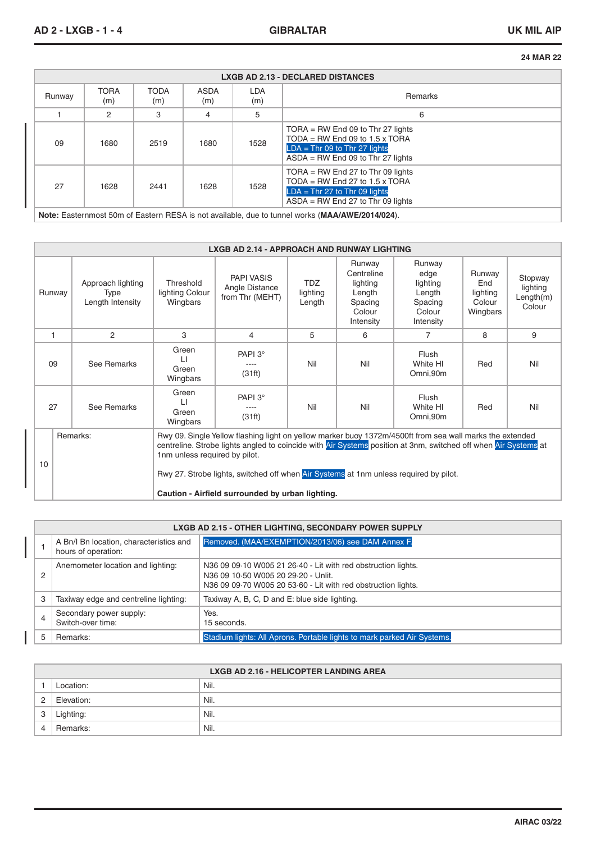|                       | <b>LXGB AD 2.13 - DECLARED DISTANCES</b> |                    |             |                   |                                                                                                                                               |  |  |  |  |  |
|-----------------------|------------------------------------------|--------------------|-------------|-------------------|-----------------------------------------------------------------------------------------------------------------------------------------------|--|--|--|--|--|
| Runway                | <b>TORA</b><br>(m)                       | <b>TODA</b><br>(m) | ASDA<br>(m) | <b>LDA</b><br>(m) | <b>Remarks</b>                                                                                                                                |  |  |  |  |  |
| 5<br>3<br>2<br>6<br>4 |                                          |                    |             |                   |                                                                                                                                               |  |  |  |  |  |
| 09                    | 1680                                     | 2519               | 1680        | 1528              | TORA = RW End 09 to Thr 27 lights<br>TODA = RW End 09 to 1.5 x TORA<br>$LDA = Thr$ 09 to Thr 27 lights<br>$ASDA = RW$ End 09 to Thr 27 lights |  |  |  |  |  |
| 27                    | 1628                                     | 2441               | 1628        | 1528              | TORA = RW End 27 to Thr 09 lights<br>TODA = RW End 27 to 1.5 x TORA<br>$LDA = Thr 27$ to Thr 09 lights<br>$ASDA = RW$ End 27 to Thr 09 lights |  |  |  |  |  |
|                       |                                          |                    |             |                   | Note: Easternmost 50m of Eastern RESA is not available, due to tunnel works (MAA/AWE/2014/024).                                               |  |  |  |  |  |

|              | <b>LXGB AD 2.14 - APPROACH AND RUNWAY LIGHTING</b> |                                          |                                                                                                                                                                                                                                                                                                                                                                          |                                  |                                                                              |                                                                        |                                                 |                                            |  |
|--------------|----------------------------------------------------|------------------------------------------|--------------------------------------------------------------------------------------------------------------------------------------------------------------------------------------------------------------------------------------------------------------------------------------------------------------------------------------------------------------------------|----------------------------------|------------------------------------------------------------------------------|------------------------------------------------------------------------|-------------------------------------------------|--------------------------------------------|--|
| Runway       | Approach lighting<br>Type<br>Length Intensity      | Threshold<br>lighting Colour<br>Wingbars | <b>PAPI VASIS</b><br>Angle Distance<br>from Thr (MEHT)                                                                                                                                                                                                                                                                                                                   | <b>TDZ</b><br>lighting<br>Length | Runway<br>Centreline<br>lighting<br>Length<br>Spacing<br>Colour<br>Intensity | Runway<br>edge<br>lighting<br>Length<br>Spacing<br>Colour<br>Intensity | Runway<br>End<br>lighting<br>Colour<br>Wingbars | Stopway<br>lighting<br>Length(m)<br>Colour |  |
| $\mathbf{1}$ | 2                                                  | 3                                        | 4                                                                                                                                                                                                                                                                                                                                                                        | 5                                | 6                                                                            | $\overline{7}$                                                         | 8                                               | 9                                          |  |
| 09           | See Remarks                                        | Green<br>$\perp$<br>Green<br>Wingbars    | PAPI 3°<br>(31ft)                                                                                                                                                                                                                                                                                                                                                        | Nil                              | Nil                                                                          | Flush<br>White HI<br>Omni,90m                                          | Red                                             | Nil                                        |  |
| 27           | See Remarks                                        | Green<br>$\perp$<br>Green<br>Wingbars    | PAPI 3°<br>(31ft)                                                                                                                                                                                                                                                                                                                                                        | Nil                              | Nil                                                                          | Flush<br>White HI<br>Omni,90m                                          | Red                                             | Nil                                        |  |
| 10           | Remarks:                                           | 1nm unless required by pilot.            | Rwy 09. Single Yellow flashing light on yellow marker buoy 1372m/4500ft from sea wall marks the extended<br>centreline. Strobe lights angled to coincide with Air Systems position at 3nm, switched off when Air Systems at<br>Rwy 27. Strobe lights, switched off when Air Systems at 1nm unless required by pilot.<br>Caution - Airfield surrounded by urban lighting. |                                  |                                                                              |                                                                        |                                                 |                                            |  |

|    | LXGB AD 2.15 - OTHER LIGHTING, SECONDARY POWER SUPPLY          |                                                                                                                                                                       |  |  |  |  |  |  |  |  |
|----|----------------------------------------------------------------|-----------------------------------------------------------------------------------------------------------------------------------------------------------------------|--|--|--|--|--|--|--|--|
|    | A Bn/I Bn location, characteristics and<br>hours of operation: | Removed. (MAA/EXEMPTION/2013/06) see DAM Annex F.                                                                                                                     |  |  |  |  |  |  |  |  |
| 2  | Anemometer location and lighting:                              | N36 09 09 10 W005 21 26 40 - Lit with red obstruction lights.<br>N36 09 10.50 W005 20 29.20 - Unlit.<br>N36 09 09 70 W005 20 53 60 - Lit with red obstruction lights. |  |  |  |  |  |  |  |  |
| -3 | Taxiway edge and centreline lighting:                          | Taxiway A, B, C, D and E: blue side lighting.                                                                                                                         |  |  |  |  |  |  |  |  |
| 4  | Secondary power supply:<br>Switch-over time:                   | Yes.<br>15 seconds.                                                                                                                                                   |  |  |  |  |  |  |  |  |
|    | Remarks:                                                       | Stadium lights: All Aprons. Portable lights to mark parked Air Systems.                                                                                               |  |  |  |  |  |  |  |  |

| <b>LXGB AD 2.16 - HELICOPTER LANDING AREA</b> |      |  |  |  |  |  |  |  |  |
|-----------------------------------------------|------|--|--|--|--|--|--|--|--|
| Location:                                     | Nil. |  |  |  |  |  |  |  |  |
| 2<br>Elevation:                               | Nil. |  |  |  |  |  |  |  |  |
| Lighting:<br>3                                | Nil. |  |  |  |  |  |  |  |  |
| Remarks:                                      | Nil. |  |  |  |  |  |  |  |  |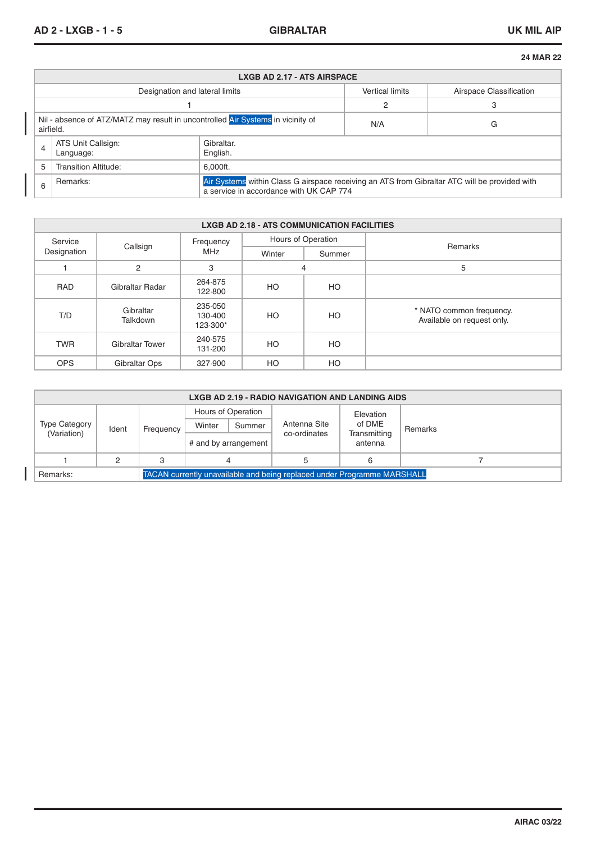I

Ī

|           | <b>LXGB AD 2.17 - ATS AIRSPACE</b>                                              |                                                                                                                                          |                        |                         |  |  |  |  |  |  |  |
|-----------|---------------------------------------------------------------------------------|------------------------------------------------------------------------------------------------------------------------------------------|------------------------|-------------------------|--|--|--|--|--|--|--|
|           | Designation and lateral limits                                                  |                                                                                                                                          | <b>Vertical limits</b> | Airspace Classification |  |  |  |  |  |  |  |
|           |                                                                                 |                                                                                                                                          | 2<br>З                 |                         |  |  |  |  |  |  |  |
| airfield. | Nil - absence of ATZ/MATZ may result in uncontrolled Air Systems in vicinity of |                                                                                                                                          | N/A                    | G                       |  |  |  |  |  |  |  |
| 4         | ATS Unit Callsign:<br>Language:                                                 | Gibraltar.<br>English.                                                                                                                   |                        |                         |  |  |  |  |  |  |  |
| 5         | <b>Transition Altitude:</b>                                                     | 6,000ft.                                                                                                                                 |                        |                         |  |  |  |  |  |  |  |
| 6         | Remarks:                                                                        | Air Systems within Class G airspace receiving an ATS from Gibraltar ATC will be provided with<br>a service in accordance with UK CAP 774 |                        |                         |  |  |  |  |  |  |  |

| <b>LXGB AD 2.18 - ATS COMMUNICATION FACILITIES</b> |                              |                                |        |                    |                                                        |  |  |  |  |  |
|----------------------------------------------------|------------------------------|--------------------------------|--------|--------------------|--------------------------------------------------------|--|--|--|--|--|
| Service                                            |                              | Frequency                      |        | Hours of Operation |                                                        |  |  |  |  |  |
| Designation                                        | Callsign                     | MHz                            | Winter | Summer             | <b>Remarks</b>                                         |  |  |  |  |  |
|                                                    | 2                            | 3                              |        | 4                  | 5                                                      |  |  |  |  |  |
| <b>RAD</b>                                         | Gibraltar Radar              | 264.875<br>122.800             | HO     | HO                 |                                                        |  |  |  |  |  |
| T/D                                                | Gibraltar<br><b>Talkdown</b> | 235.050<br>130.400<br>123-300* | HO     | HO                 | * NATO common frequency.<br>Available on request only. |  |  |  |  |  |
| <b>TWR</b>                                         | <b>Gibraltar Tower</b>       | 240.575<br>131.200             | HO     | HO                 |                                                        |  |  |  |  |  |
| <b>OPS</b>                                         | Gibraltar Ops                | 327.900                        | HO     | HO                 |                                                        |  |  |  |  |  |

| LXGB AD 2.19 - RADIO NAVIGATION AND LANDING AIDS |       |                                                                                |                      |        |              |                         |         |  |  |  |
|--------------------------------------------------|-------|--------------------------------------------------------------------------------|----------------------|--------|--------------|-------------------------|---------|--|--|--|
|                                                  |       |                                                                                | Hours of Operation   |        |              | Elevation               |         |  |  |  |
| Type Category<br>(Variation)                     | Ident | Frequency                                                                      | Winter               | Summer | Antenna Site | of DME                  | Remarks |  |  |  |
|                                                  |       |                                                                                | # and by arrangement |        | co-ordinates | Transmitting<br>antenna |         |  |  |  |
|                                                  |       |                                                                                |                      |        |              | 6                       |         |  |  |  |
| Remarks:                                         |       | <b>TACAN currently unavailable and being replaced under Programme MARSHALL</b> |                      |        |              |                         |         |  |  |  |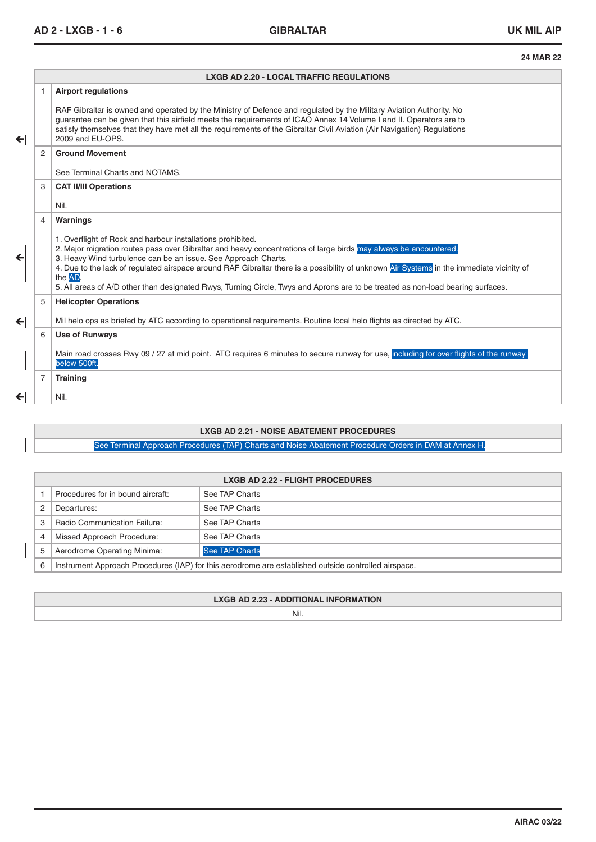# **LXGB AD 2.20 - LOCAL TRAFFIC REGULATIONS** 1 **Airport regulations** RAF Gibraltar is owned and operated by the Ministry of Defence and regulated by the Military Aviation Authority. No guarantee can be given that this airfield meets the requirements of ICAO Annex 14 Volume I and II. Operators are to satisfy themselves that they have met all the requirements of the Gibraltar Civil Aviation (Air Navigation) Regulations 2009 and EU-OPS. 2 **Ground Movement** See Terminal Charts and NOTAMS. 3 **CAT II/III Operations** Nil. 4 **Warnings** 1. Overflight of Rock and harbour installations prohibited. 2. Major migration routes pass over Gibraltar and heavy concentrations of large birds may always be encountered. 3. Heavy Wind turbulence can be an issue. See Approach Charts. 4. Due to the lack of regulated airspace around RAF Gibraltar there is a possibility of unknown Air Systems in the immediate vicinity of the AD 5. All areas of A/D other than designated Rwys, Turning Circle, Twys and Aprons are to be treated as non-load bearing surfaces. 5 **Helicopter Operations** Mil helo ops as briefed by ATC according to operational requirements. Routine local helo flights as directed by ATC. 6 **Use of Runways** Main road crosses Rwy 09 / 27 at mid point. ATC requires 6 minutes to secure runway for use, including for over flights of the runway below 500ft. 7 **Training** Nil.  $\leftarrow$ ↤  $\leftarrow$  $\leftarrow$

# **LXGB AD 2.21 - NOISE ABATEMENT PROCEDURES**

See Terminal Approach Procedures (TAP) Charts and Noise Abatement Procedure Orders in DAM at Annex H.

### **LXGB AD 2.22 - FLIGHT PROCEDURES**

|   | Procedures for in bound aircraft:                                                                    | See TAP Charts |  |  |  |  |  |
|---|------------------------------------------------------------------------------------------------------|----------------|--|--|--|--|--|
|   | Departures:                                                                                          | See TAP Charts |  |  |  |  |  |
| 3 | Radio Communication Failure:                                                                         | See TAP Charts |  |  |  |  |  |
| 4 | Missed Approach Procedure:                                                                           | See TAP Charts |  |  |  |  |  |
| 5 | <b>See TAP Charts</b><br>Aerodrome Operating Minima:                                                 |                |  |  |  |  |  |
| 6 | Instrument Approach Procedures (IAP) for this aerodrome are established outside controlled airspace. |                |  |  |  |  |  |

#### **LXGB AD 2.23 - ADDITIONAL INFORMATION**

Nil.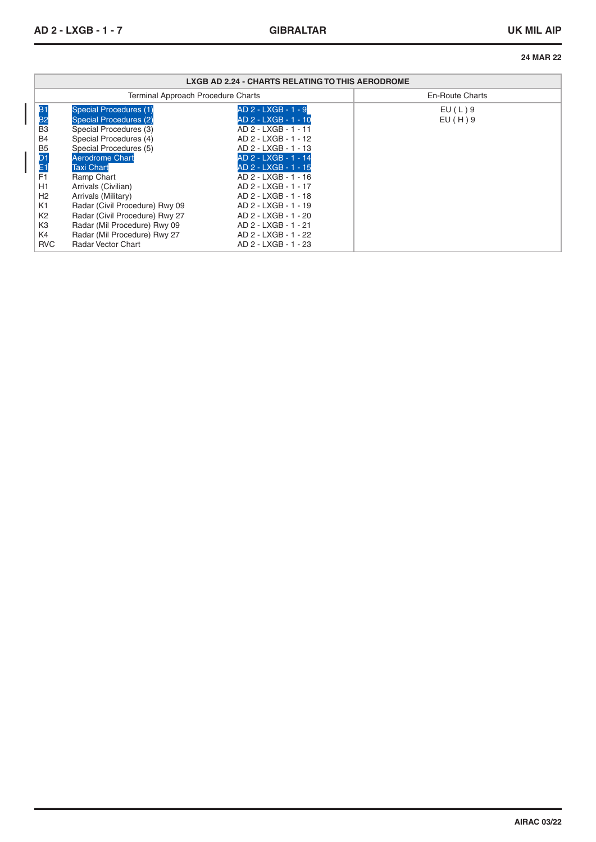I

I

|                                                                                                                                                                                                     | LXGB AD 2.24 - CHARTS RELATING TO THIS AERODROME                                                                                                                                                                                                                                                                                                                              |                                                                                                                                                                                                                                                                                                                                             |                        |  |  |  |  |  |  |  |  |
|-----------------------------------------------------------------------------------------------------------------------------------------------------------------------------------------------------|-------------------------------------------------------------------------------------------------------------------------------------------------------------------------------------------------------------------------------------------------------------------------------------------------------------------------------------------------------------------------------|---------------------------------------------------------------------------------------------------------------------------------------------------------------------------------------------------------------------------------------------------------------------------------------------------------------------------------------------|------------------------|--|--|--|--|--|--|--|--|
|                                                                                                                                                                                                     | <b>Terminal Approach Procedure Charts</b>                                                                                                                                                                                                                                                                                                                                     |                                                                                                                                                                                                                                                                                                                                             | <b>En-Route Charts</b> |  |  |  |  |  |  |  |  |
| B1<br>B <sub>2</sub><br>B <sub>3</sub><br><b>B4</b><br>B <sub>5</sub><br>D <sub>1</sub><br>E1<br>F <sub>1</sub><br>H1<br>H <sub>2</sub><br>K <sub>1</sub><br>K <sub>2</sub><br>K <sub>3</sub><br>K4 | Special Procedures (1)<br>Special Procedures (2)<br>Special Procedures (3)<br>Special Procedures (4)<br>Special Procedures (5)<br><b>Aerodrome Chart</b><br><b>Taxi Chart</b><br>Ramp Chart<br>Arrivals (Civilian)<br>Arrivals (Military)<br>Radar (Civil Procedure) Rwy 09<br>Radar (Civil Procedure) Rwy 27<br>Radar (Mil Procedure) Rwy 09<br>Radar (Mil Procedure) Rwy 27 | AD 2 - LXGB - 1 - 9<br>AD 2 - LXGB - 1 - 10<br>AD 2 - LXGB - 1 - 11<br>AD 2 - LXGB - 1 - 12<br>AD 2 - LXGB - 1 - 13<br>AD 2 - LXGB - 1 - 14<br>AD 2 - LXGB - 1 - 15<br>AD 2 - LXGB - 1 - 16<br>AD 2 - LXGB - 1 - 17<br>AD 2 - LXGB - 1 - 18<br>AD 2 - LXGB - 1 - 19<br>AD 2 - LXGB - 1 - 20<br>AD 2 - LXGB - 1 - 21<br>AD 2 - LXGB - 1 - 22 | EU(L)9<br>EU(H)9       |  |  |  |  |  |  |  |  |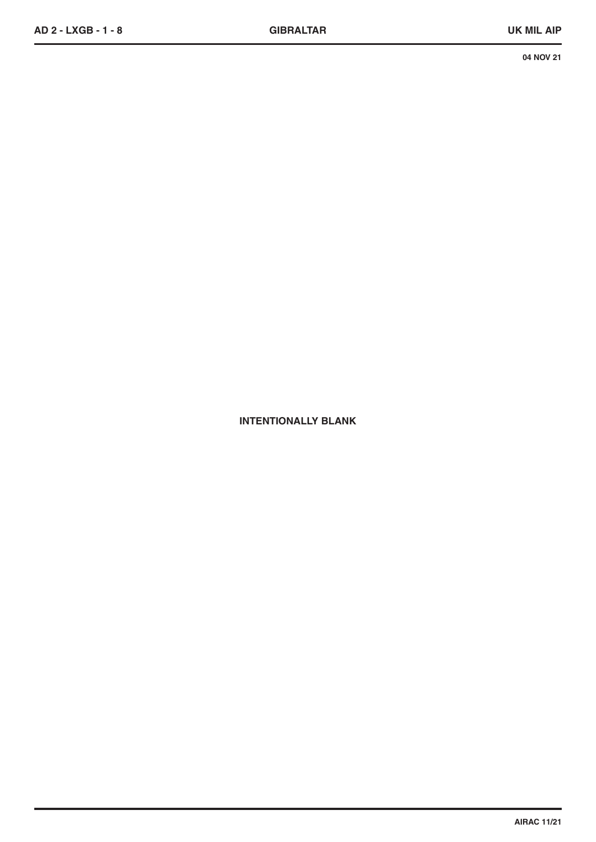**INTENTIONALLY BLANK**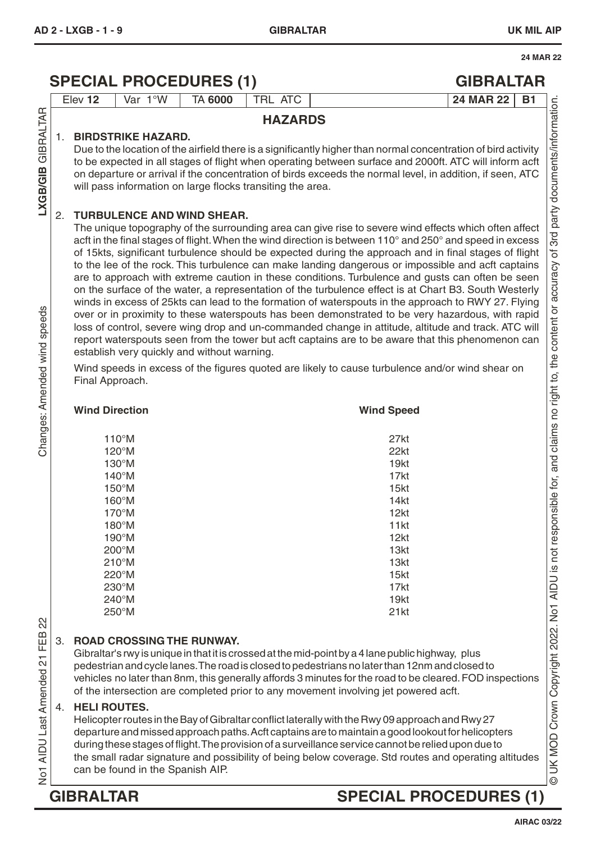# **SPECIAL PROCEDURES (1) GIBRALTAR** LTAR Elev **12** Var 1°W TA **<sup>6000</sup>** TRL ATC **24 MAR 22 B1 HAZARDS** 1. **BIRDSTRIKE HAZARD.** No1 AIDU Last Amended 21 FEB 22 Changes: Amended wind speeds **LXGB/GIB** GIBRA Due to the location of the airfield there is a significantly higher than normal concentration of bird activity to be expected in all stages of flight when operating between surface and 2000ft. ATC will inform acft on departure or arrival if the concentration of birds exceeds the normal level, in addition, if seen, ATC will pass information on large flocks transiting the area. 2. **TURBULENCE AND WIND SHEAR.** The unique topography of the surrounding area can give rise to severe wind effects which often affect acft in the final stages of flight.When the wind direction is between 110° and 250° and speed in excess of 15kts, significant turbulence should be expected during the approach and in final stages of flight to the lee of the rock. This turbulence can make landing dangerous or impossible and acft captains are to approach with extreme caution in these conditions. Turbulence and gusts can often be seen on the surface of the water, a representation of the turbulence effect is at Chart B3. South Westerly winds in excess of 25kts can lead to the formation of waterspouts in the approach to RWY 27. Flying over or in proximity to these waterspouts has been demonstrated to be very hazardous, with rapid loss of control, severe wing drop and un-commanded change in attitude, altitude and track. ATC will report waterspouts seen from the tower but acft captains are to be aware that this phenomenon can establish very quickly and without warning. Wind speeds in excess of the figures quoted are likely to cause turbulence and/or wind shear on Final Approach. **Wind Direction Wind Speed** 110°M 27kt 120°M 22kt 130°M 19kt 140°M 17kt 150°M 15kt 160°M 14kt 170°M 12kt 180°M 11kt 190°M 12kt 200°M 13kt 210°M 13kt 220°M 15kt 230°M 17kt 240°M 19kt  $250^{\circ}$ M 21kt 22 FEB: 3. **ROAD CROSSING THE RUNWAY.** Gibraltar's rwy is unique in that it is crossed at the mid-point by a 4 lane public highway, plus pedestrian and cycle lanes. The road is closed to pedestrians no later than 12nm and closed to vehicles no later than 8nm, this generally affords 3 minutes for the road to be cleared.FOD inspections

the small radar signature and possibility of being below coverage. Std routes and operating altitudes

of the intersection are completed prior to any movement involving jet powered acft.

Helicopter routes in the Bay of Gibraltar conflict laterally with the Rwy 09 approach and Rwy 27 departure and missed approach paths.Acft captains are to maintain a good lookoutfor helicopters during these stages of flight. The provision of a surveillance service cannot be relied upon due to

### **AIRAC 03/22**

AIDU Last Amended 21  $\overline{5}$ 

Changes: Amended wind speeds

**GIBRALTAR SPECIAL PROCEDURES (1)**

4. **HELI ROUTES.**

can be found in the Spanish AIP.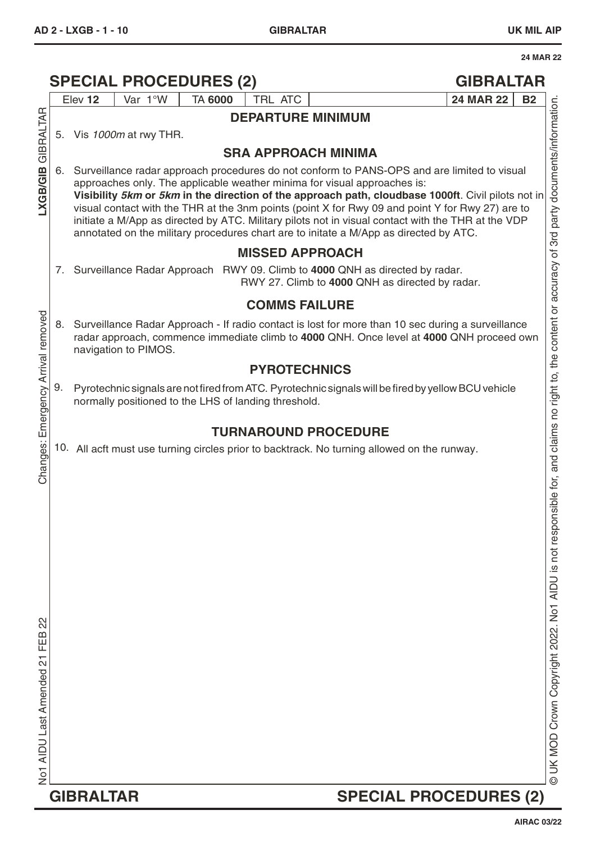|                                    |                                                                                                                                                                                                                                                                                                                                                                                                                                                                                                                                                                                                                                                                                   |                      |  | <b>SPECIAL PROCEDURES (2)</b>                        |  |                |  |  |         |  |                                                                                                                                                                                               |  | <b>GIBRALTAR</b> |           |
|------------------------------------|-----------------------------------------------------------------------------------------------------------------------------------------------------------------------------------------------------------------------------------------------------------------------------------------------------------------------------------------------------------------------------------------------------------------------------------------------------------------------------------------------------------------------------------------------------------------------------------------------------------------------------------------------------------------------------------|----------------------|--|------------------------------------------------------|--|----------------|--|--|---------|--|-----------------------------------------------------------------------------------------------------------------------------------------------------------------------------------------------|--|------------------|-----------|
|                                    |                                                                                                                                                                                                                                                                                                                                                                                                                                                                                                                                                                                                                                                                                   | Elev 12              |  | Var 1°W                                              |  | <b>TA 6000</b> |  |  | TRL ATC |  |                                                                                                                                                                                               |  | <b>24 MAR 22</b> | <b>B2</b> |
|                                    |                                                                                                                                                                                                                                                                                                                                                                                                                                                                                                                                                                                                                                                                                   |                      |  |                                                      |  |                |  |  |         |  | <b>DEPARTURE MINIMUM</b>                                                                                                                                                                      |  |                  |           |
| 5.                                 |                                                                                                                                                                                                                                                                                                                                                                                                                                                                                                                                                                                                                                                                                   |                      |  | Vis 1000m at rwy THR.                                |  |                |  |  |         |  |                                                                                                                                                                                               |  |                  |           |
|                                    |                                                                                                                                                                                                                                                                                                                                                                                                                                                                                                                                                                                                                                                                                   |                      |  |                                                      |  |                |  |  |         |  | <b>SRA APPROACH MINIMA</b>                                                                                                                                                                    |  |                  |           |
| 6.                                 | sible for, and claims no right to, the content or accuracy of 3rd party documents/information<br>Surveillance radar approach procedures do not conform to PANS-OPS and are limited to visual<br>approaches only. The applicable weather minima for visual approaches is:<br>Visibility 5km or 5km in the direction of the approach path, cloudbase 1000ft. Civil pilots not in<br>visual contact with the THR at the 3nm points (point X for Rwy 09 and point Y for Rwy 27) are to<br>initiate a M/App as directed by ATC. Military pilots not in visual contact with the THR at the VDP<br>annotated on the military procedures chart are to initate a M/App as directed by ATC. |                      |  |                                                      |  |                |  |  |         |  |                                                                                                                                                                                               |  |                  |           |
|                                    |                                                                                                                                                                                                                                                                                                                                                                                                                                                                                                                                                                                                                                                                                   |                      |  |                                                      |  |                |  |  |         |  | <b>MISSED APPROACH</b>                                                                                                                                                                        |  |                  |           |
| 7.                                 |                                                                                                                                                                                                                                                                                                                                                                                                                                                                                                                                                                                                                                                                                   |                      |  |                                                      |  |                |  |  |         |  | Surveillance Radar Approach RWY 09. Climb to 4000 QNH as directed by radar.<br>RWY 27. Climb to 4000 QNH as directed by radar.                                                                |  |                  |           |
|                                    | <b>COMMS FAILURE</b>                                                                                                                                                                                                                                                                                                                                                                                                                                                                                                                                                                                                                                                              |                      |  |                                                      |  |                |  |  |         |  |                                                                                                                                                                                               |  |                  |           |
| 8.                                 |                                                                                                                                                                                                                                                                                                                                                                                                                                                                                                                                                                                                                                                                                   | navigation to PIMOS. |  |                                                      |  |                |  |  |         |  | Surveillance Radar Approach - If radio contact is lost for more than 10 sec during a surveillance<br>radar approach, commence immediate climb to 4000 QNH. Once level at 4000 QNH proceed own |  |                  |           |
|                                    | <b>PYROTECHNICS</b>                                                                                                                                                                                                                                                                                                                                                                                                                                                                                                                                                                                                                                                               |                      |  |                                                      |  |                |  |  |         |  |                                                                                                                                                                                               |  |                  |           |
| 9.                                 |                                                                                                                                                                                                                                                                                                                                                                                                                                                                                                                                                                                                                                                                                   |                      |  | normally positioned to the LHS of landing threshold. |  |                |  |  |         |  | Pyrotechnic signals are not fired from ATC. Pyrotechnic signals will be fired by yellow BCU vehicle                                                                                           |  |                  |           |
|                                    | <b>TURNAROUND PROCEDURE</b>                                                                                                                                                                                                                                                                                                                                                                                                                                                                                                                                                                                                                                                       |                      |  |                                                      |  |                |  |  |         |  |                                                                                                                                                                                               |  |                  |           |
| Changes: Emergency Arrival removed |                                                                                                                                                                                                                                                                                                                                                                                                                                                                                                                                                                                                                                                                                   |                      |  |                                                      |  |                |  |  |         |  | 10. All acft must use turning circles prior to backtrack. No turning allowed on the runway.                                                                                                   |  |                  |           |
|                                    |                                                                                                                                                                                                                                                                                                                                                                                                                                                                                                                                                                                                                                                                                   |                      |  |                                                      |  |                |  |  |         |  |                                                                                                                                                                                               |  |                  |           |
|                                    |                                                                                                                                                                                                                                                                                                                                                                                                                                                                                                                                                                                                                                                                                   |                      |  |                                                      |  |                |  |  |         |  |                                                                                                                                                                                               |  |                  |           |
|                                    |                                                                                                                                                                                                                                                                                                                                                                                                                                                                                                                                                                                                                                                                                   |                      |  |                                                      |  |                |  |  |         |  |                                                                                                                                                                                               |  |                  |           |
|                                    |                                                                                                                                                                                                                                                                                                                                                                                                                                                                                                                                                                                                                                                                                   |                      |  |                                                      |  |                |  |  |         |  |                                                                                                                                                                                               |  |                  |           |
|                                    |                                                                                                                                                                                                                                                                                                                                                                                                                                                                                                                                                                                                                                                                                   |                      |  |                                                      |  |                |  |  |         |  |                                                                                                                                                                                               |  |                  |           |
|                                    |                                                                                                                                                                                                                                                                                                                                                                                                                                                                                                                                                                                                                                                                                   |                      |  |                                                      |  |                |  |  |         |  |                                                                                                                                                                                               |  |                  |           |
|                                    |                                                                                                                                                                                                                                                                                                                                                                                                                                                                                                                                                                                                                                                                                   |                      |  |                                                      |  |                |  |  |         |  |                                                                                                                                                                                               |  |                  |           |
|                                    |                                                                                                                                                                                                                                                                                                                                                                                                                                                                                                                                                                                                                                                                                   |                      |  |                                                      |  |                |  |  |         |  |                                                                                                                                                                                               |  |                  |           |
|                                    |                                                                                                                                                                                                                                                                                                                                                                                                                                                                                                                                                                                                                                                                                   |                      |  |                                                      |  |                |  |  |         |  |                                                                                                                                                                                               |  |                  |           |
|                                    |                                                                                                                                                                                                                                                                                                                                                                                                                                                                                                                                                                                                                                                                                   |                      |  |                                                      |  |                |  |  |         |  |                                                                                                                                                                                               |  |                  |           |
|                                    |                                                                                                                                                                                                                                                                                                                                                                                                                                                                                                                                                                                                                                                                                   |                      |  |                                                      |  |                |  |  |         |  |                                                                                                                                                                                               |  |                  |           |
|                                    |                                                                                                                                                                                                                                                                                                                                                                                                                                                                                                                                                                                                                                                                                   |                      |  |                                                      |  |                |  |  |         |  |                                                                                                                                                                                               |  |                  |           |
|                                    |                                                                                                                                                                                                                                                                                                                                                                                                                                                                                                                                                                                                                                                                                   |                      |  |                                                      |  |                |  |  |         |  |                                                                                                                                                                                               |  |                  |           |
|                                    |                                                                                                                                                                                                                                                                                                                                                                                                                                                                                                                                                                                                                                                                                   | <b>GIBRALTAR</b>     |  |                                                      |  |                |  |  |         |  | <b>SPECIAL PROCEDURES (2)</b>                                                                                                                                                                 |  |                  |           |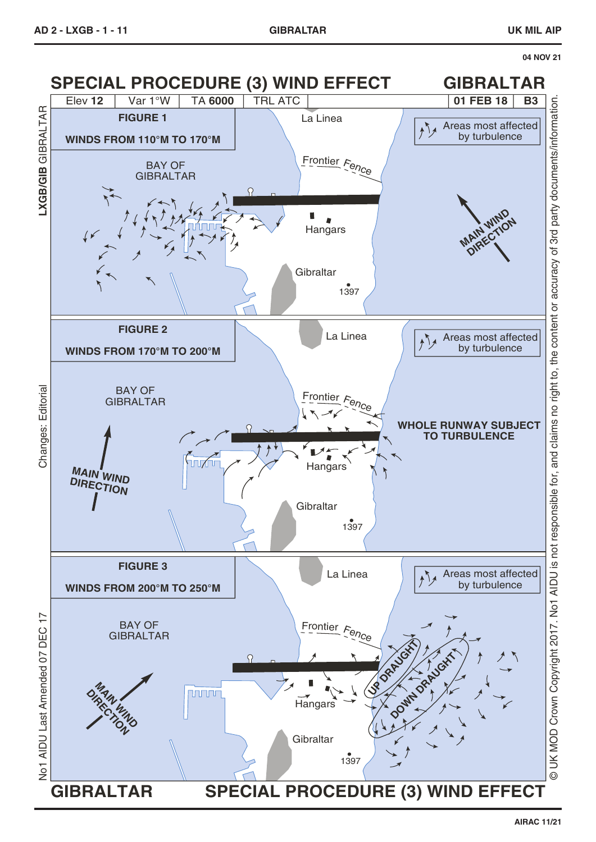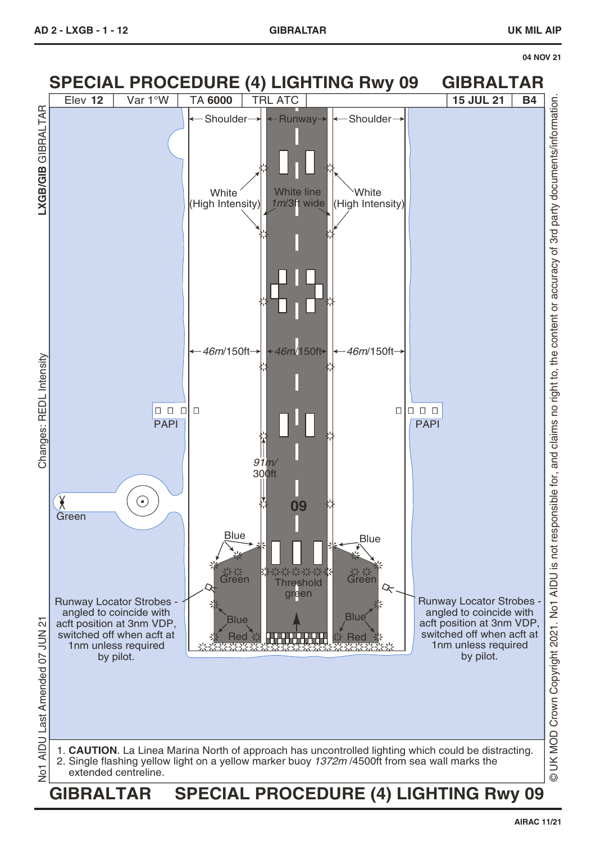

**AIRAC 11/21**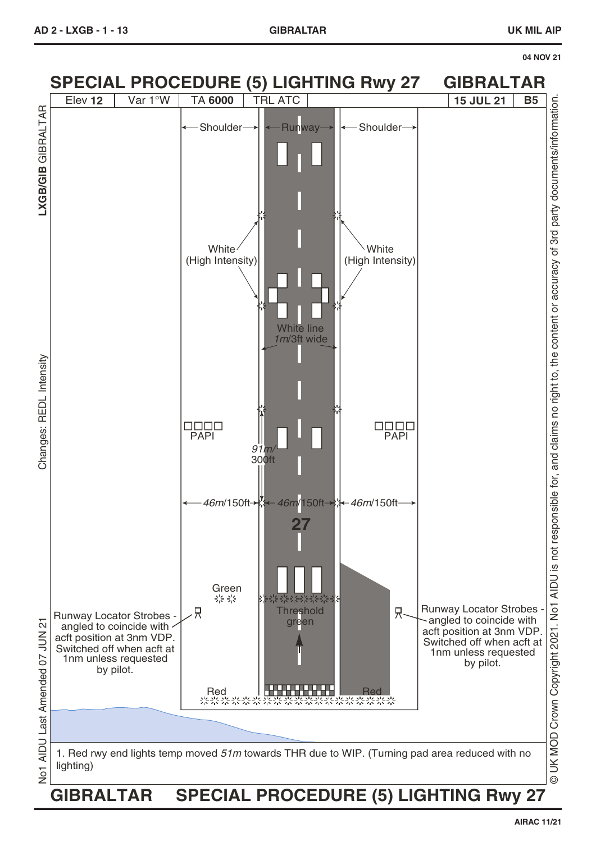

#### **SPECIAL PROCEDURE (5) LIGHTING Rwy 27 GIBRALTAR**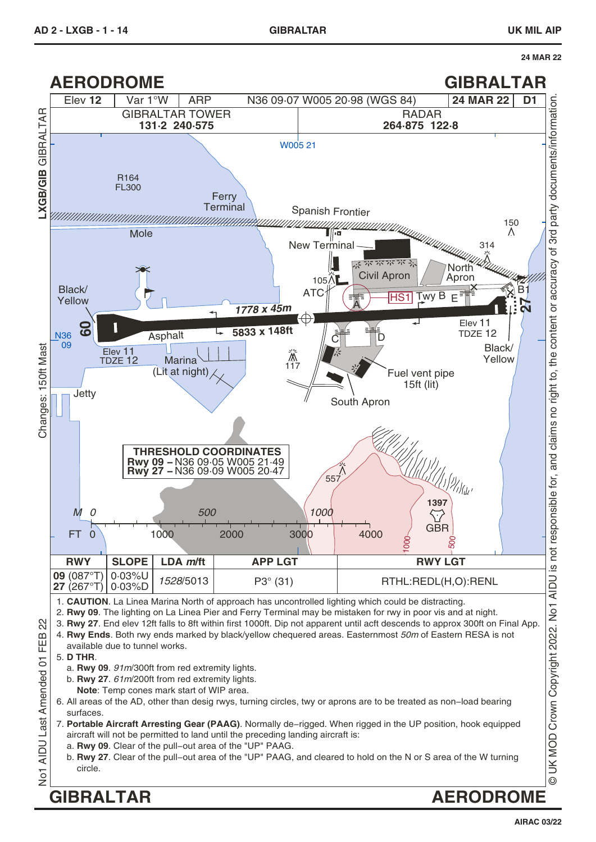



**AIRAC 03/22**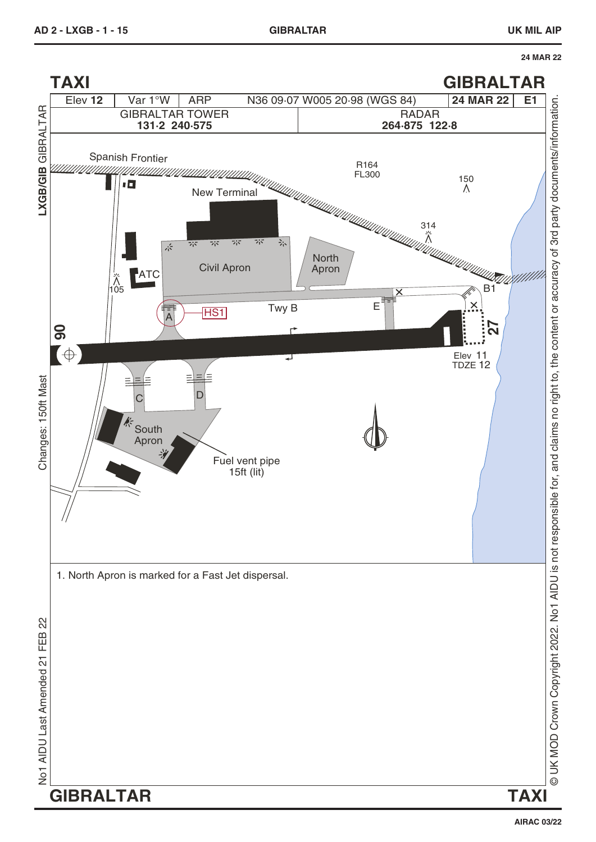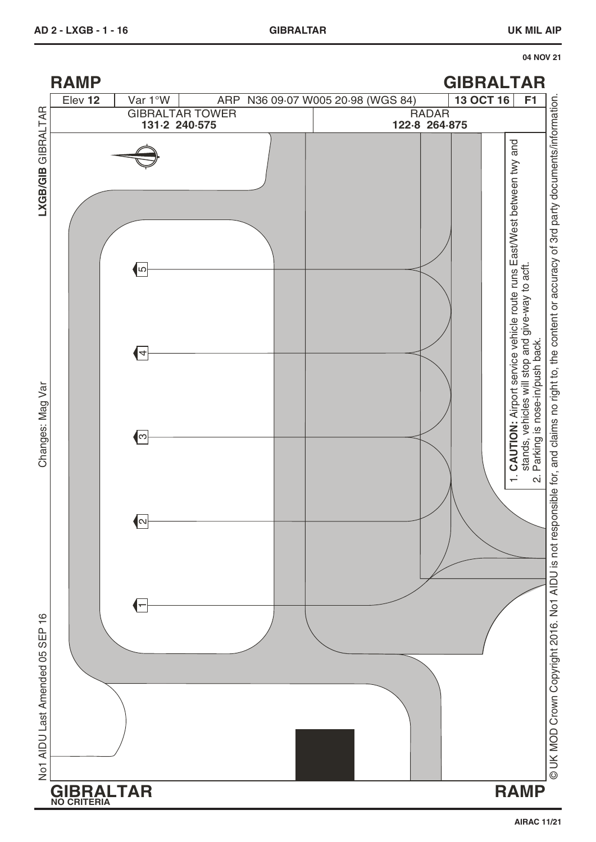**RAMP GIBRALTAR 13 OCT 16** Var 1°W © UK MOD Crown Copyright 2016. No1 AIDU is not responsible for, and claims no right to, the content or accuracy of 3rd party documents/information. © UK MOD Crown Copyright 2016. No1 AIDU is not responsible for, and claims no right to, the content or accuracy of 3rd party documents/information. Elev 12 | Var 1°W | ARP N36 09 07 W005 20 98 (WGS 84) | 13 OCT 16 | F1 **LXGB/GIB GIBRALTAR LXGB/GIB** GIBRALTAR GIBRALTAR TOWER RADAR **131·2 240·575 122·8 264·875 CAUTION:** Airport service vehicle route runs East/West between twy and 1. CAUTION: Airport service vehicle route runs East/West between twy and stands, vehicles will stop and give-way to acft.<br>Parking is nose-in/push back. stands, vehicles will stop and give-way to acft. ഥ 2. Parking is nose-in/push back. 4 Changes: Mag Var No1 AIDU Last Amended 05 SEP 16 Changes: Mag Var ო  $\overline{\mathcal{N}}$  $\mathbf{\alpha}$  $\vdash$ No1 AIDU Last Amended 05 SEP 16 **RAMP GIBRALTAR NO CRITERIA**

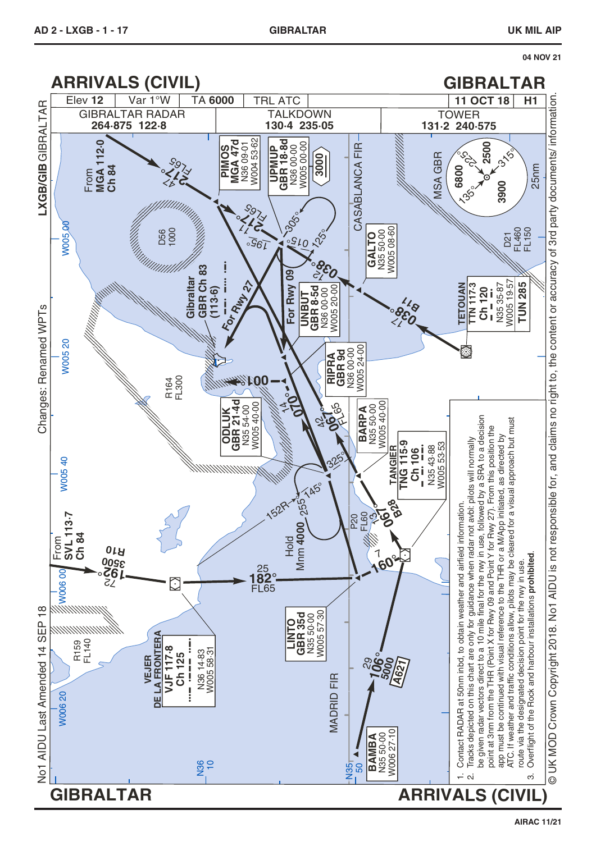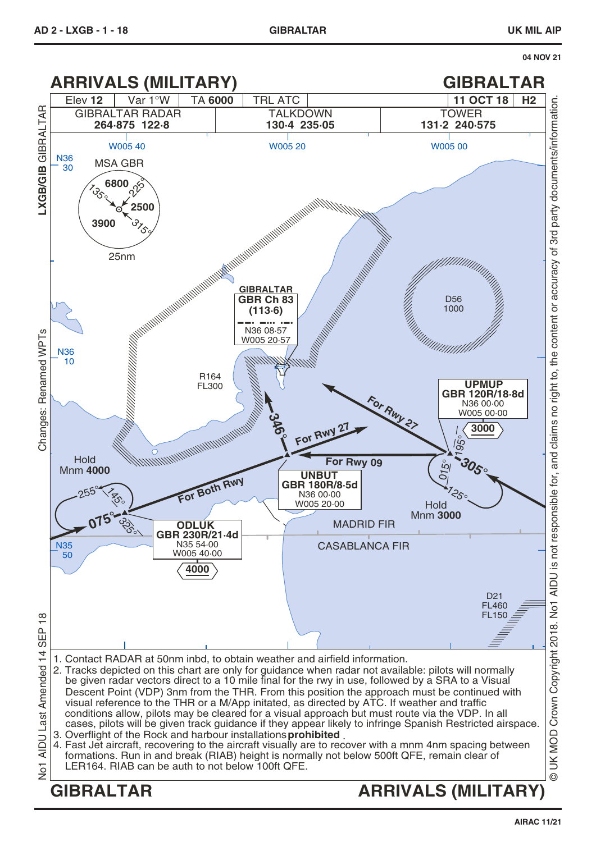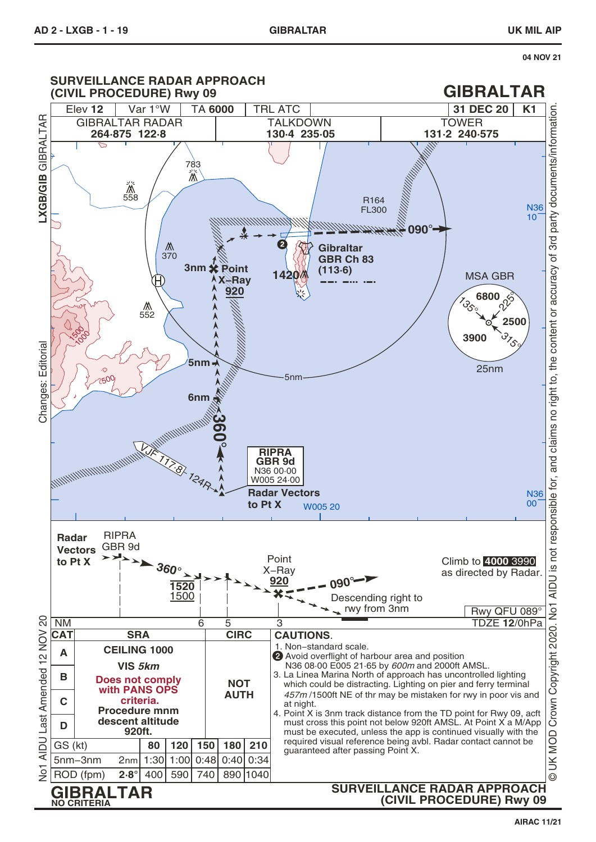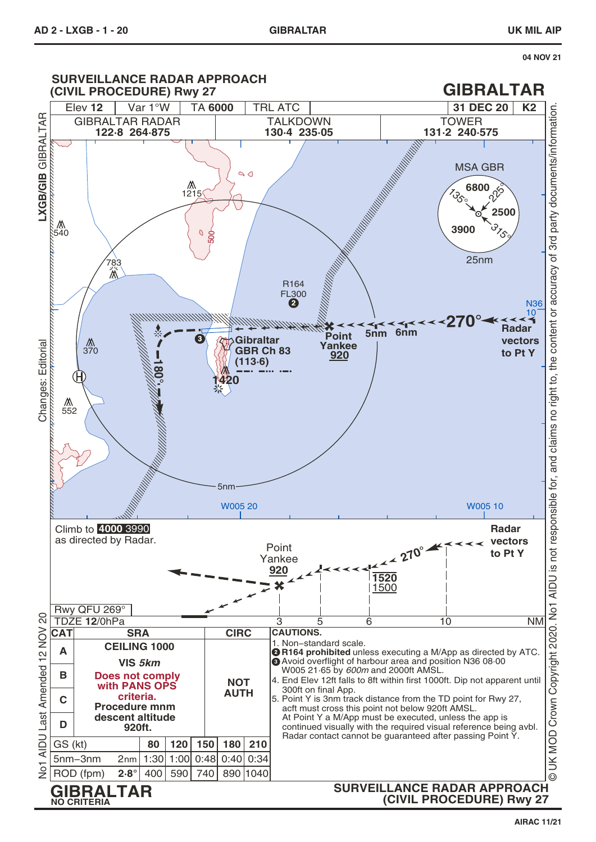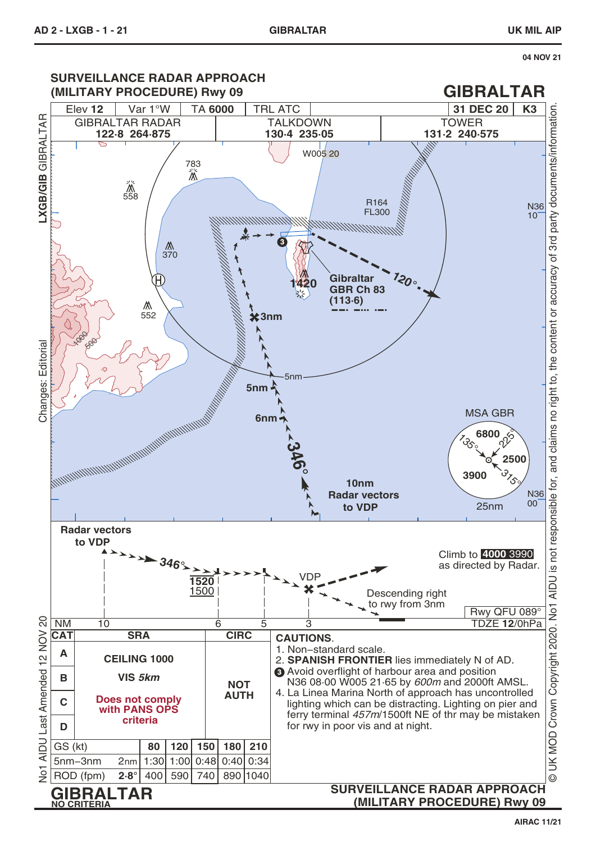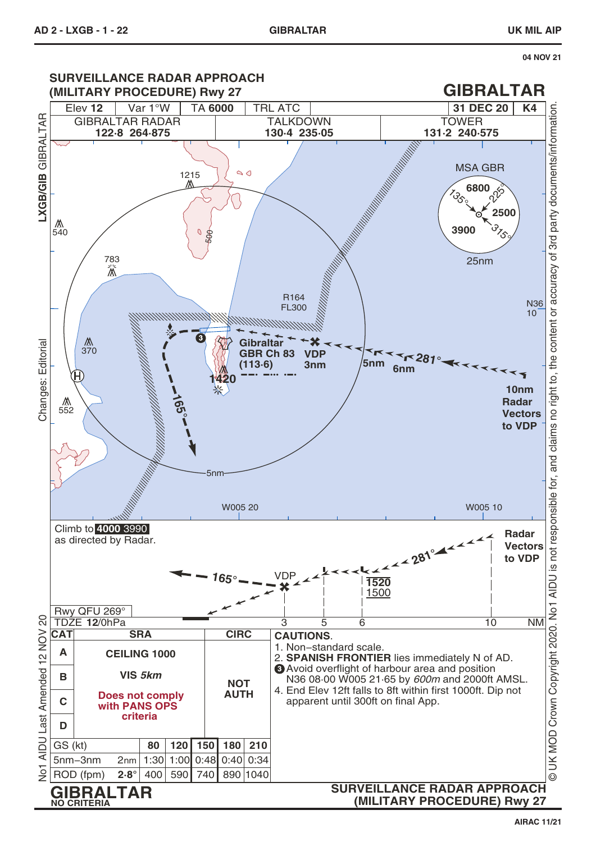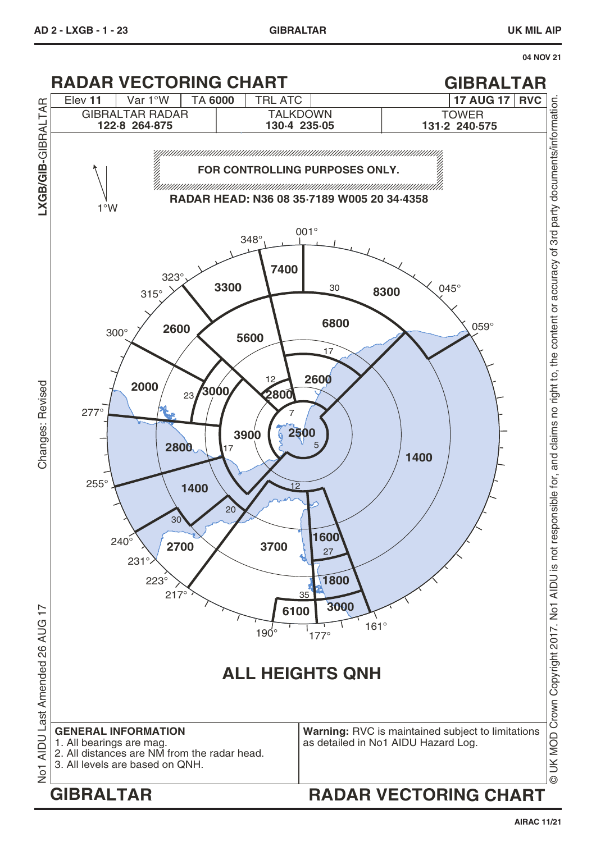